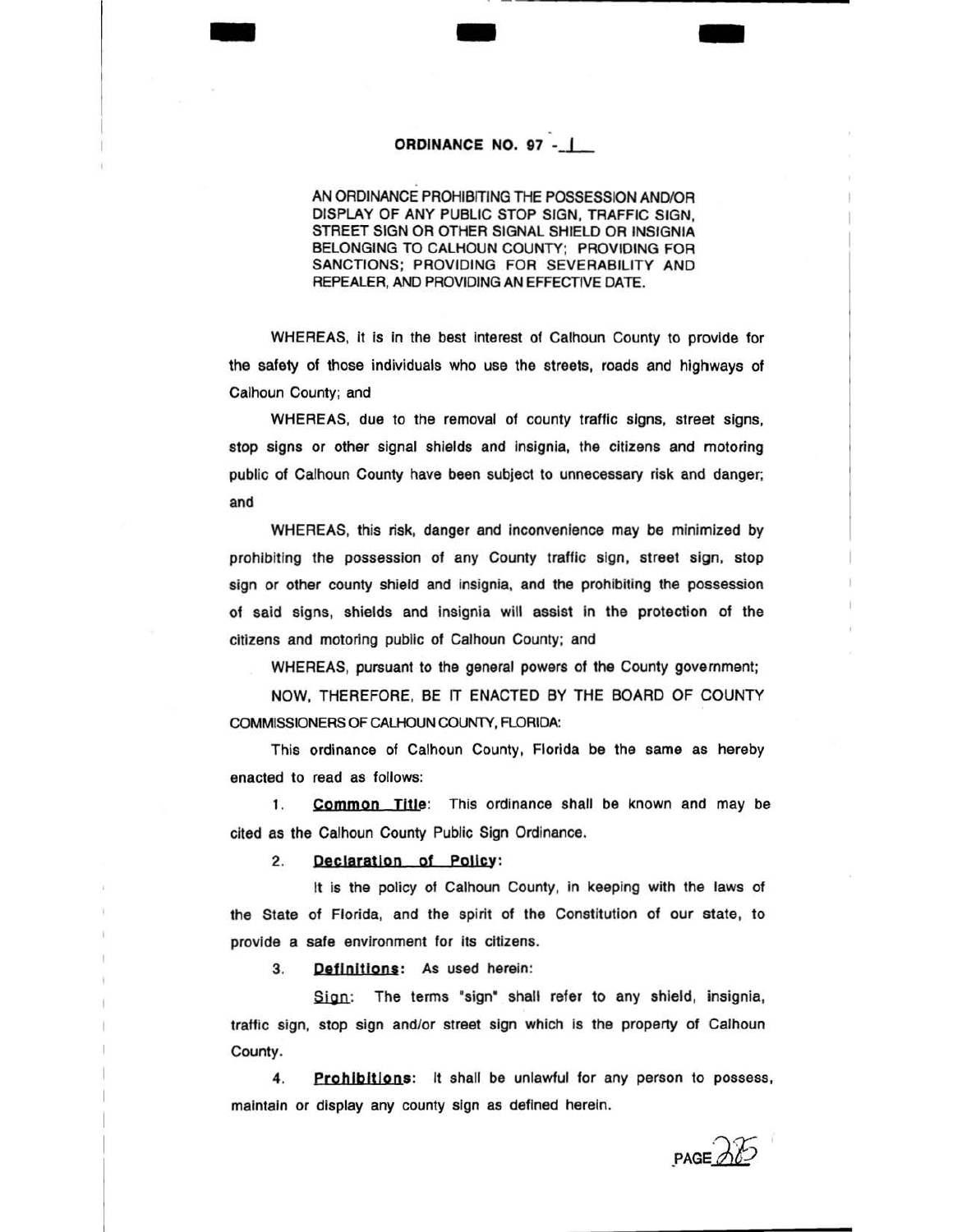## ORDINANCE NO. 97 -

- -

AN ORDINANCE PROHIBfTING THE POSSESSION AND/OR DISPLAY OF ANY PUBLIC STOP SIGN, TRAFFIC SIGN, STREET SIGN OR OTHER SIGNAL SHIELD OR INSIGNIA BELONGING TO CALHOUN COUNTY; PROVIDING FOR SANCTIONS; PROVIDING FOR SEVERABILITY AND REPEALER, AND PROVIDING AN EFFECTIVE DATE.

WHEREAS, it is in the best interest of Calhoun County to provide for the safety of those individuals who use the streets, roads and highways of Calhoun County; and

WHEREAS, due to the removal of county traffic signs, street signs, stop signs or other signal shields and Insignia, the citizens and motoring public of Calhoun County have been subject to unnecessary risk and danger; and

WHEREAS, this risk, danger and inconvenience may be minimized by prohibiting the possession of any County traffic sign, street sign, stop sign or other county shield and insignia, and the prohibiting the possession of said signs, shields and insignia will assist In the protection of the citizens and motoring public of Calhoun County; and

WHEREAS, pursuant to the general powers of the County government;

NOW, THEREFORE, BE IT ENACTED BY THE BOARD OF COUNTY COMMISSIONERS OF CALHOUN COUNTY, FLORIDA:

This ordinance of Calhoun County, Florida be the same as hereby enacted to read as follows:

1. **Common Title:** This ordinance shall be known and may be cited as the Calhoun County Public Sign Ordinance.

2. Declaration of Policy:

It is the policy of Calhoun County, In keeping with the laws of the State of Florida, and the spirit of the Constitution of our state, to provide a safe environment for its citizens.

3. **Definitions:** As used herein:

Sign: The terms "sign" shall refer to any shield, insignia, traffic sign, stop sign and/or street sign which is the property of Calhoun County.

4. Prohibitions: It shall be unlawful for any person to possess, maintain or display any county sign as defined herein.

 $PAGE$ 

-